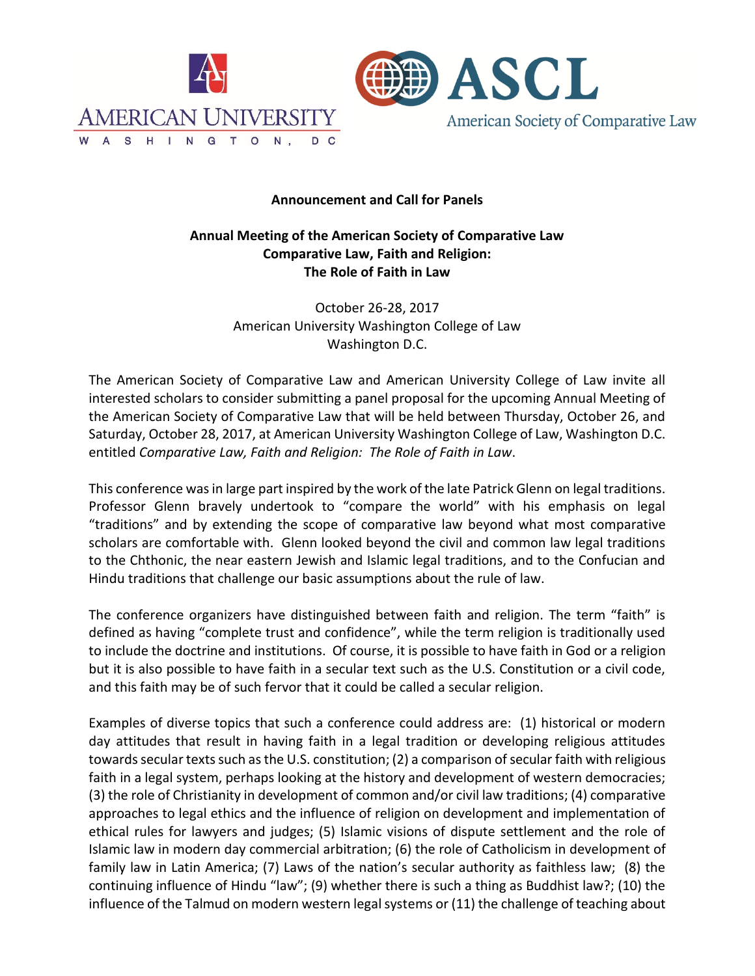

## **Announcement and Call for Panels**

## **Annual Meeting of the American Society of Comparative Law Comparative Law, Faith and Religion: The Role of Faith in Law**

October 26-28, 2017 American University Washington College of Law Washington D.C.

The American Society of Comparative Law and American University College of Law invite all interested scholars to consider submitting a panel proposal for the upcoming Annual Meeting of the American Society of Comparative Law that will be held between Thursday, October 26, and Saturday, October 28, 2017, at American University Washington College of Law, Washington D.C. entitled *Comparative Law, Faith and Religion: The Role of Faith in Law*.

This conference was in large part inspired by the work of the late Patrick Glenn on legal traditions. Professor Glenn bravely undertook to "compare the world" with his emphasis on legal "traditions" and by extending the scope of comparative law beyond what most comparative scholars are comfortable with. Glenn looked beyond the civil and common law legal traditions to the Chthonic, the near eastern Jewish and Islamic legal traditions, and to the Confucian and Hindu traditions that challenge our basic assumptions about the rule of law.

The conference organizers have distinguished between faith and religion. The term "faith" is defined as having "complete trust and confidence", while the term religion is traditionally used to include the doctrine and institutions. Of course, it is possible to have faith in God or a religion but it is also possible to have faith in a secular text such as the U.S. Constitution or a civil code, and this faith may be of such fervor that it could be called a secular religion.

Examples of diverse topics that such a conference could address are: (1) historical or modern day attitudes that result in having faith in a legal tradition or developing religious attitudes towards secular texts such as the U.S. constitution; (2) a comparison of secular faith with religious faith in a legal system, perhaps looking at the history and development of western democracies; (3) the role of Christianity in development of common and/or civil law traditions; (4) comparative approaches to legal ethics and the influence of religion on development and implementation of ethical rules for lawyers and judges; (5) Islamic visions of dispute settlement and the role of Islamic law in modern day commercial arbitration; (6) the role of Catholicism in development of family law in Latin America; (7) Laws of the nation's secular authority as faithless law; (8) the continuing influence of Hindu "law"; (9) whether there is such a thing as Buddhist law?; (10) the influence of the Talmud on modern western legal systems or (11) the challenge of teaching about